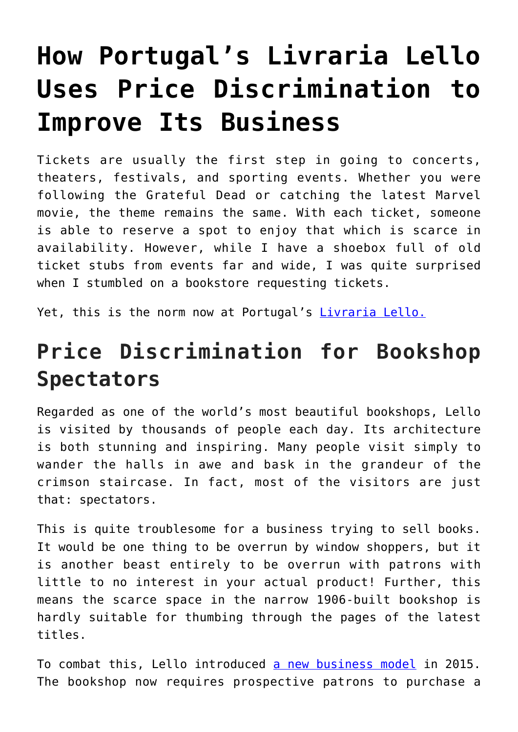# **[How Portugal's Livraria Lello](https://intellectualtakeout.org/2019/06/how-portugals-livraria-lello-uses-price-discrimination-to-improve-its-business/) [Uses Price Discrimination to](https://intellectualtakeout.org/2019/06/how-portugals-livraria-lello-uses-price-discrimination-to-improve-its-business/) [Improve Its Business](https://intellectualtakeout.org/2019/06/how-portugals-livraria-lello-uses-price-discrimination-to-improve-its-business/)**

Tickets are usually the first step in going to concerts, theaters, festivals, and sporting events. Whether you were following the Grateful Dead or catching the latest Marvel movie, the theme remains the same. With each ticket, someone is able to reserve a spot to enjoy that which is scarce in availability. However, while I have a shoebox full of old ticket stubs from events far and wide, I was quite surprised when I stumbled on a bookstore requesting tickets.

Yet, this is the norm now at Portugal's *[Livraria Lello.](https://www.livrarialello.pt/en-us/livrarialello-institucional)* 

## **Price Discrimination for Bookshop Spectators**

Regarded as one of the world's most beautiful bookshops, Lello is visited by thousands of people each day. Its architecture is both stunning and inspiring. Many people visit simply to wander the halls in awe and bask in the grandeur of the crimson staircase. In fact, most of the visitors are just that: spectators.

This is quite troublesome for a business trying to sell books. It would be one thing to be overrun by window shoppers, but it is another beast entirely to be overrun with patrons with little to no interest in your actual product! Further, this means the scarce space in the narrow 1906-built bookshop is hardly suitable for thumbing through the pages of the latest titles.

To combat this, Lello introduced [a new business model](https://www.livrarialello.pt/en-us/products/online-voucher) in 2015. The bookshop now requires prospective patrons to purchase a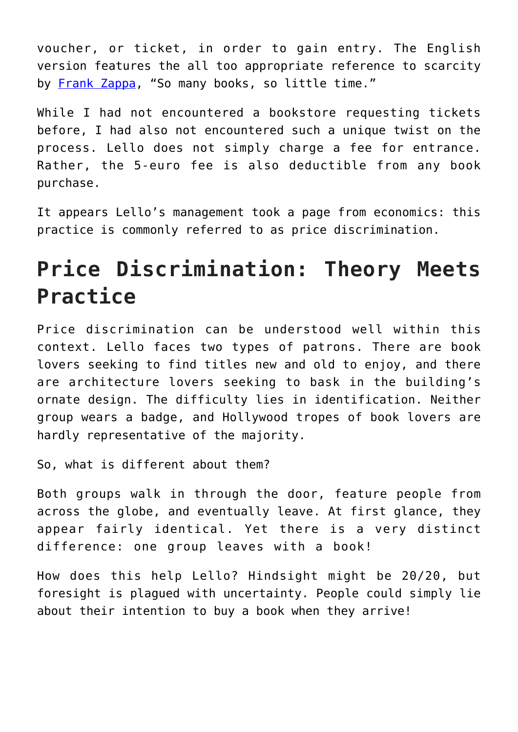voucher, or ticket, in order to gain entry. The English version features the all too appropriate reference to scarcity by [Frank Zappa](https://www.zappa.com/), "So many books, so little time."

While I had not encountered a bookstore requesting tickets before, I had also not encountered such a unique twist on the process. Lello does not simply charge a fee for entrance. Rather, the 5-euro fee is also deductible from any book purchase.

It appears Lello's management took a page from economics: this practice is commonly referred to as price discrimination.

## **Price Discrimination: Theory Meets Practice**

Price discrimination can be understood well within this context. Lello faces two types of patrons. There are book lovers seeking to find titles new and old to enjoy, and there are architecture lovers seeking to bask in the building's ornate design. The difficulty lies in identification. Neither group wears a badge, and Hollywood tropes of book lovers are hardly representative of the majority.

So, what is different about them?

Both groups walk in through the door, feature people from across the globe, and eventually leave. At first glance, they appear fairly identical. Yet there is a very distinct difference: one group leaves with a book!

How does this help Lello? Hindsight might be 20/20, but foresight is plagued with uncertainty. People could simply lie about their intention to buy a book when they arrive!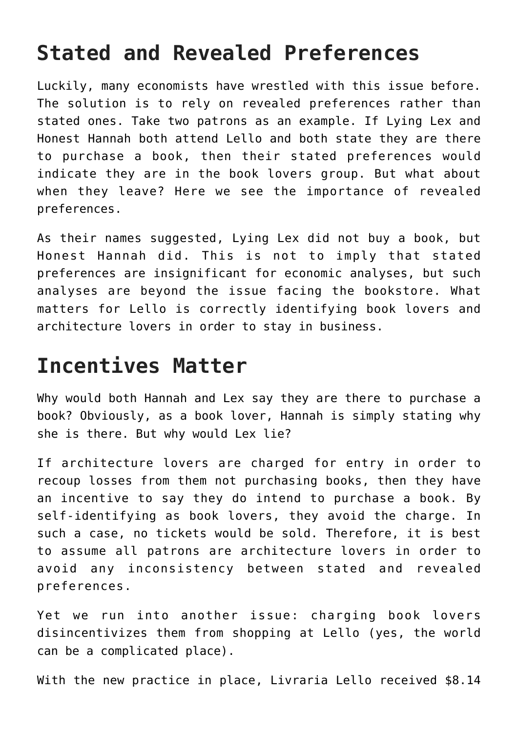### **Stated and Revealed Preferences**

Luckily, many economists have wrestled with this issue before. The solution is to rely on revealed preferences rather than stated ones. Take two patrons as an example. If Lying Lex and Honest Hannah both attend Lello and both state they are there to purchase a book, then their stated preferences would indicate they are in the book lovers group. But what about when they leave? Here we see the importance of revealed preferences.

As their names suggested, Lying Lex did not buy a book, but Honest Hannah did. This is not to imply that stated preferences are insignificant for economic analyses, but such analyses are beyond the issue facing the bookstore. What matters for Lello is correctly identifying book lovers and architecture lovers in order to stay in business.

#### **Incentives Matter**

Why would both Hannah and Lex say they are there to purchase a book? Obviously, as a book lover, Hannah is simply stating why she is there. But why would Lex lie?

If architecture lovers are charged for entry in order to recoup losses from them not purchasing books, then they have an incentive to say they do intend to purchase a book. By self-identifying as book lovers, they avoid the charge. In such a case, no tickets would be sold. Therefore, it is best to assume all patrons are architecture lovers in order to avoid any inconsistency between stated and revealed preferences.

Yet we run into another issue: charging book lovers disincentivizes them from shopping at Lello (yes, the world can be a complicated place).

With the new practice in place, Livraria Lello received \$8.14